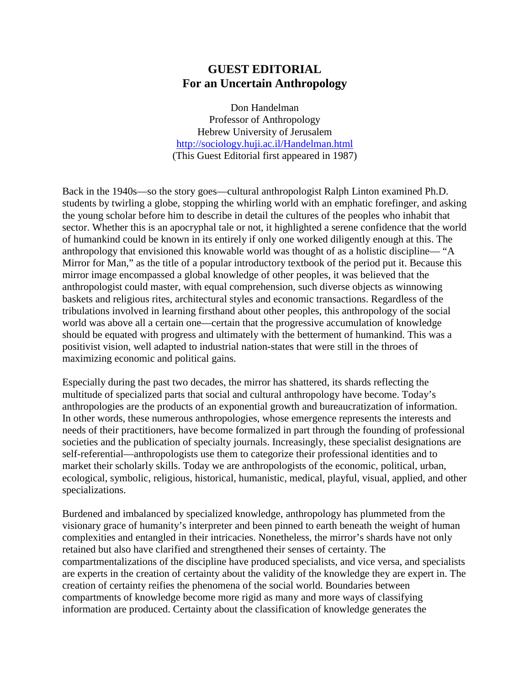## **GUEST EDITORIAL For an Uncertain Anthropology**

Don Handelman Professor of Anthropology Hebrew University of Jerusalem http://sociology.huji.ac.il/Handelman.html (This Guest Editorial first appeared in 1987)

Back in the 1940s—so the story goes—cultural anthropologist Ralph Linton examined Ph.D. students by twirling a globe, stopping the whirling world with an emphatic forefinger, and asking the young scholar before him to describe in detail the cultures of the peoples who inhabit that sector. Whether this is an apocryphal tale or not, it highlighted a serene confidence that the world of humankind could be known in its entirely if only one worked diligently enough at this. The anthropology that envisioned this knowable world was thought of as a holistic discipline— "A Mirror for Man," as the title of a popular introductory textbook of the period put it. Because this mirror image encompassed a global knowledge of other peoples, it was believed that the anthropologist could master, with equal comprehension, such diverse objects as winnowing baskets and religious rites, architectural styles and economic transactions. Regardless of the tribulations involved in learning firsthand about other peoples, this anthropology of the social world was above all a certain one—certain that the progressive accumulation of knowledge should be equated with progress and ultimately with the betterment of humankind. This was a positivist vision, well adapted to industrial nation-states that were still in the throes of maximizing economic and political gains.

Especially during the past two decades, the mirror has shattered, its shards reflecting the multitude of specialized parts that social and cultural anthropology have become. Today's anthropologies are the products of an exponential growth and bureaucratization of information. In other words, these numerous anthropologies, whose emergence represents the interests and needs of their practitioners, have become formalized in part through the founding of professional societies and the publication of specialty journals. Increasingly, these specialist designations are self-referential—anthropologists use them to categorize their professional identities and to market their scholarly skills. Today we are anthropologists of the economic, political, urban, ecological, symbolic, religious, historical, humanistic, medical, playful, visual, applied, and other specializations.

Burdened and imbalanced by specialized knowledge, anthropology has plummeted from the visionary grace of humanity's interpreter and been pinned to earth beneath the weight of human complexities and entangled in their intricacies. Nonetheless, the mirror's shards have not only retained but also have clarified and strengthened their senses of certainty. The compartmentalizations of the discipline have produced specialists, and vice versa, and specialists are experts in the creation of certainty about the validity of the knowledge they are expert in. The creation of certainty reifies the phenomena of the social world. Boundaries between compartments of knowledge become more rigid as many and more ways of classifying information are produced. Certainty about the classification of knowledge generates the